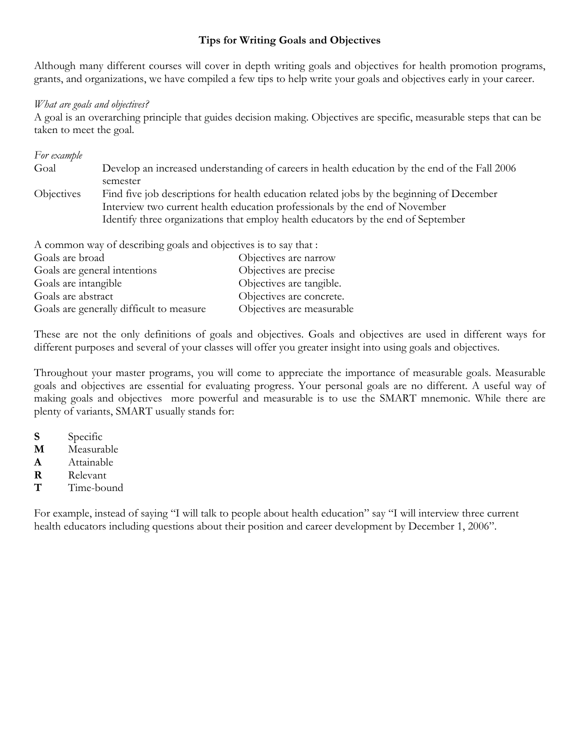## **Tips for Writing Goals and Objectives**

Although many different courses will cover in depth writing goals and objectives for health promotion programs, grants, and organizations, we have compiled a few tips to help write your goals and objectives early in your career.

## *What are goals and objectives?*

A goal is an overarching principle that guides decision making. Objectives are specific, measurable steps that can be taken to meet the goal.

| Goal              | Develop an increased understanding of careers in health education by the end of the Fall 2006 |
|-------------------|-----------------------------------------------------------------------------------------------|
|                   | semester                                                                                      |
| <b>Objectives</b> | Find five job descriptions for health education related jobs by the beginning of December     |
|                   | Interview two current health education professionals by the end of November                   |
|                   | Identify three organizations that employ health educators by the end of September             |

| $\sim$ common way or accentaing goals and object to to to ony that: |
|---------------------------------------------------------------------|
| Objectives are narrow                                               |
| Objectives are precise                                              |
| Objectives are tangible.                                            |
| Objectives are concrete.                                            |
| Objectives are measurable                                           |
|                                                                     |

These are not the only definitions of goals and objectives. Goals and objectives are used in different ways for different purposes and several of your classes will offer you greater insight into using goals and objectives.

Throughout your master programs, you will come to appreciate the importance of measurable goals. Measurable goals and objectives are essential for evaluating progress. Your personal goals are no different. A useful way of making goals and objectives more powerful and measurable is to use the SMART mnemonic. While there are plenty of variants, SMART usually stands for:

- **S** Specific
- **M** Measurable
- **A** Attainable
- **R** Relevant
- **T** Time-bound

For example, instead of saying "I will talk to people about health education" say "I will interview three current health educators including questions about their position and career development by December 1, 2006".